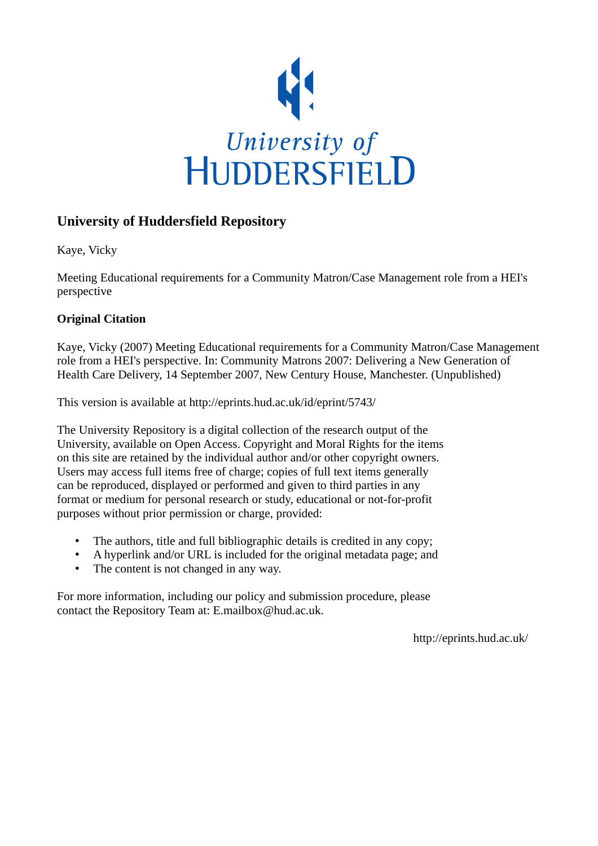

### **University of Huddersfield Repository**

Kaye, Vicky

Meeting Educational requirements for a Community Matron/Case Management role from a HEI's perspective

### **Original Citation**

Kaye, Vicky (2007) Meeting Educational requirements for a Community Matron/Case Management role from a HEI's perspective. In: Community Matrons 2007: Delivering a New Generation of Health Care Delivery, 14 September 2007, New Century House, Manchester. (Unpublished)

This version is available at http://eprints.hud.ac.uk/id/eprint/5743/

The University Repository is a digital collection of the research output of the University, available on Open Access. Copyright and Moral Rights for the items on this site are retained by the individual author and/or other copyright owners. Users may access full items free of charge; copies of full text items generally can be reproduced, displayed or performed and given to third parties in any format or medium for personal research or study, educational or not-for-profit purposes without prior permission or charge, provided:

- The authors, title and full bibliographic details is credited in any copy;
- A hyperlink and/or URL is included for the original metadata page; and
- The content is not changed in any way.

For more information, including our policy and submission procedure, please contact the Repository Team at: E.mailbox@hud.ac.uk.

http://eprints.hud.ac.uk/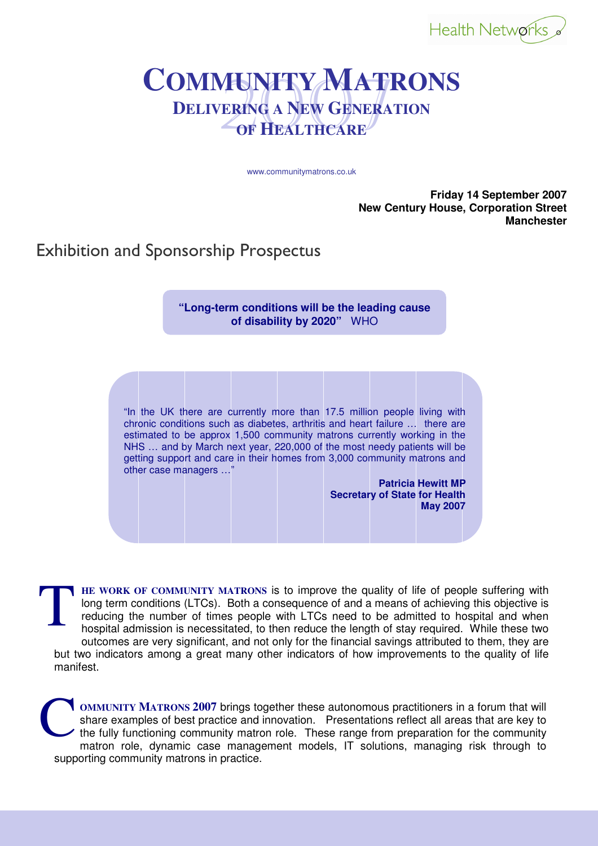

## 2007 **<sup>C</sup>OMMUNITY MATRONS DELIVERING A NEW GENERATION OF HEALTHCARE**

www.communitymatrons.co.uk

**Friday 14 September 2007 New Century House, Corporation Street Manchester** 

Exhibition and Sponsorship Prospectus

**"Long-term conditions will be the leading cause of disability by 2020"** WHO

"In the UK there are currently more than 17.5 million people living with chronic conditions such as diabetes, arthritis and heart failure … there are estimated to be approx 1,500 community matrons currently working in the NHS … and by March next year, 220,000 of the most needy patients will be getting support and care in their homes from 3,000 community matrons and other case managers …"

> **Patricia Hewitt MP Secretary of State for Health May 2007**

**HE WORK OF COMMUNITY MATRONS** is to improve the quality of life of people suffering with long term conditions (LTCs). Both a consequence of and a means of achieving this objective is reducing the number of times people with LTCs need to be admitted to hospital and when hospital admission is necessitated, to then reduce the length of stay required. While these two outcomes are very significant, and not only for the financial savings attributed to them, they are but two indicators among a great many other indicators of how improvements to the quality of life manifest. **T** 

**OMMUNITY MATRONS 2007** brings together these autonomous practitioners in a forum that will share examples of best practice and innovation. Presentations reflect all areas that are key to the fully functioning community matron role. These range from preparation for the community matron role, dynamic case management models, IT solutions, managing risk through to supporting community matrons in practice. C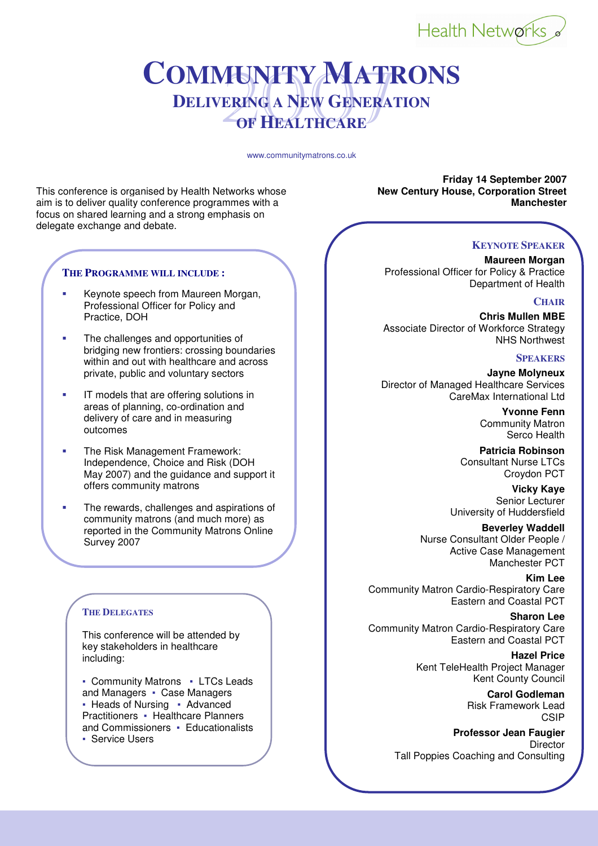

## 2007 **<sup>C</sup>OMMUNITY MATRONS DELIVERING A NEW GENERATION OF HEALTHCARE**

www.communitymatrons.co.uk

This conference is organised by Health Networks whose **New Century House, Corporation Street** aim is to deliver quality conference programmes with a **Manchester** Manchester **Manchester** focus on shared learning and a strong emphasis on delegate exchange and debate.

### **THE PROGRAMME WILL INCLUDE :**

- Keynote speech from Maureen Morgan, Professional Officer for Policy and Practice, DOH
- The challenges and opportunities of bridging new frontiers: crossing boundaries within and out with healthcare and across private, public and voluntary sectors
- IT models that are offering solutions in areas of planning, co-ordination and delivery of care and in measuring outcomes
- The Risk Management Framework: Independence, Choice and Risk (DOH May 2007) and the guidance and support it offers community matrons
- The rewards, challenges and aspirations of community matrons (and much more) as reported in the Community Matrons Online Survey 2007

### **THE DELEGATES**

This conference will be attended by key stakeholders in healthcare including:

• Community Matrons • LTCs Leads and Managers • Case Managers ■ Heads of Nursing ▪ Advanced Practitioners • Healthcare Planners and Commissioners · Educationalists **• Service Users** 

**Friday 14 September 2007** 

### **KEYNOTE SPEAKER**

**Maureen Morgan** Professional Officer for Policy & Practice Department of Health

### **CHAIR**

**Chris Mullen MBE** Associate Director of Workforce Strategy NHS Northwest

### **SPEAKERS**

**Jayne Molyneux** Director of Managed Healthcare Services CareMax International Ltd

> **Yvonne Fenn** Community Matron Serco Health

**Patricia Robinson** Consultant Nurse LTCs Croydon PCT

**Vicky Kaye** Senior Lecturer University of Huddersfield

**Beverley Waddell** Nurse Consultant Older People / Active Case Management Manchester PCT

**Kim Lee** Community Matron Cardio-Respiratory Care Eastern and Coastal PCT

**Sharon Lee** Community Matron Cardio-Respiratory Care Eastern and Coastal PCT

> **Hazel Price** Kent TeleHealth Project Manager Kent County Council

> > **Carol Godleman** Risk Framework Lead **CSIP**

**Professor Jean Faugier Director** Tall Poppies Coaching and Consulting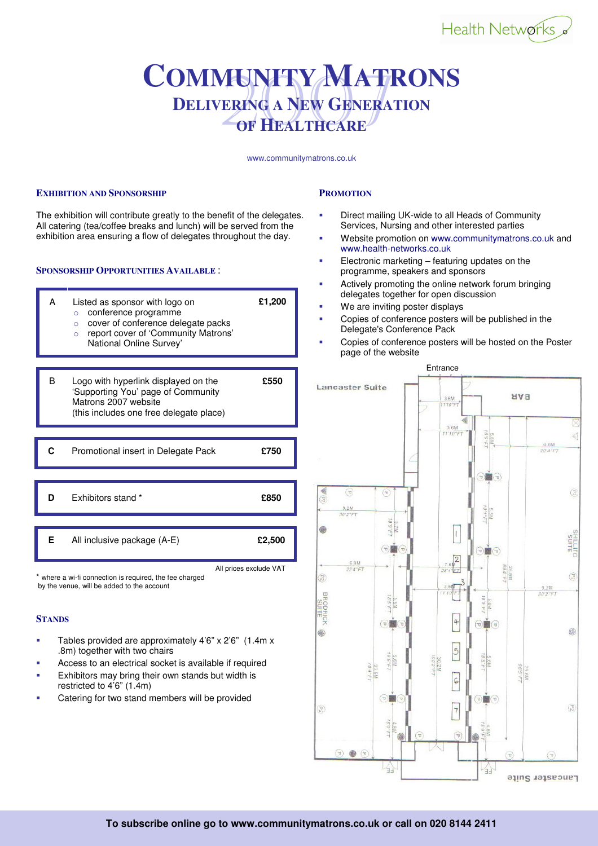# Health Networks

### 2007 **<sup>C</sup>OMMUNITY MATRONS DELIVERING A NEW GENERATION OF HEALTHCARE**

www.communitymatrons.co.uk

### **EXHIBITION AND SPONSORSHIP**

The exhibition will contribute greatly to the benefit of the delegates. All catering (tea/coffee breaks and lunch) will be served from the exhibition area ensuring a flow of delegates throughout the day.

#### **SPONSORSHIP OPPORTUNITIES AVAILABLE** :



\* where a wi-fi connection is required, the fee charged by the venue, will be added to the account

#### **STANDS**

- Tables provided are approximately 4'6" x 2'6" (1.4m x .8m) together with two chairs
- Access to an electrical socket is available if required
- Exhibitors may bring their own stands but width is restricted to 4'6" (1.4m)
- Catering for two stand members will be provided

### **PROMOTION**

- Direct mailing UK-wide to all Heads of Community Services, Nursing and other interested parties
- Website promotion on www.communitymatrons.co.uk and www.health-networks.co.uk
- Electronic marketing featuring updates on the programme, speakers and sponsors
- Actively promoting the online network forum bringing delegates together for open discussion
- We are inviting poster displays
- Copies of conference posters will be published in the Delegate's Conference Pack
- Copies of conference posters will be hosted on the Poster page of the website